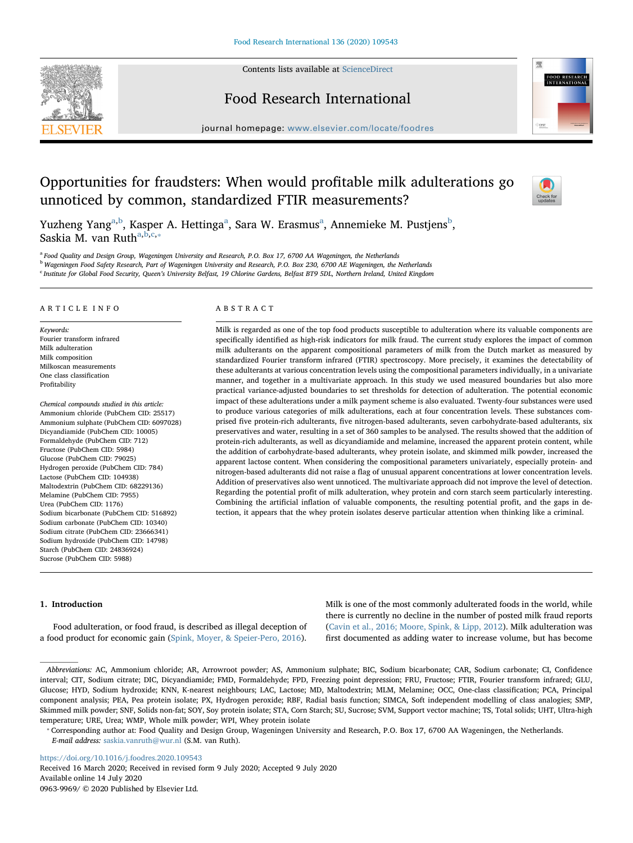Contents lists available at [ScienceDirect](http://www.sciencedirect.com/science/journal/09639969)





## Food Research International

journal homepage: [www.elsevier.com/locate/foodres](https://www.elsevier.com/locate/foodres)

# Opportunities for fraudsters: When would profitable milk adulterations go unnoticed by common, standardized FTIR measurements?



Yuzheng Y[a](#page-0-0)ng<sup>a[,b](#page-0-1)</sup>, Kasper A. Hettinga<sup>a</sup>, Sara W. Erasmus<sup>a</sup>, Annemieke M. Pustjens<sup>[b](#page-0-1)</sup>, S[a](#page-0-0)skia M. van Ruth $a,b,c,*$  $a,b,c,*$  $a,b,c,*$  $a,b,c,*$ 

<span id="page-0-2"></span><span id="page-0-1"></span><span id="page-0-0"></span><sup>a</sup> Food Quality and Design Group, Wageningen University and Research, P.O. Box 17, 6700 AA Wageningen, the Netherlands <sup>b</sup> Wageningen Food Safety Research, Part of Wageningen University and Research, P.O. Box 230, 6700 AE Wageningen, the Netherlands <sup>c</sup> Institute for Global Food Security, Queen's University Belfast, 19 Chlorine Gardens, Belfast BT9 5DL, Northern Ireland, United Kingdom

#### ARTICLE INFO

Keywords: Fourier transform infrared Milk adulteration Milk composition Milkoscan measurements One class classification Profitability

Chemical compounds studied in this article: Ammonium chloride (PubChem CID: 25517) Ammonium sulphate (PubChem CID: 6097028) Dicyandiamide (PubChem CID: 10005) Formaldehyde (PubChem CID: 712) Fructose (PubChem CID: 5984) Glucose (PubChem CID: 79025) Hydrogen peroxide (PubChem CID: 784) Lactose (PubChem CID: 104938) Maltodextrin (PubChem CID: 68229136) Melamine (PubChem CID: 7955) Urea (PubChem CID: 1176) Sodium bicarbonate (PubChem CID: 516892) Sodium carbonate (PubChem CID: 10340) Sodium citrate (PubChem CID: 23666341) Sodium hydroxide (PubChem CID: 14798) Starch (PubChem CID: 24836924) Sucrose (PubChem CID: 5988)

#### ABSTRACT

Milk is regarded as one of the top food products susceptible to adulteration where its valuable components are specifically identified as high-risk indicators for milk fraud. The current study explores the impact of common milk adulterants on the apparent compositional parameters of milk from the Dutch market as measured by standardized Fourier transform infrared (FTIR) spectroscopy. More precisely, it examines the detectability of these adulterants at various concentration levels using the compositional parameters individually, in a univariate manner, and together in a multivariate approach. In this study we used measured boundaries but also more practical variance-adjusted boundaries to set thresholds for detection of adulteration. The potential economic impact of these adulterations under a milk payment scheme is also evaluated. Twenty-four substances were used to produce various categories of milk adulterations, each at four concentration levels. These substances comprised five protein-rich adulterants, five nitrogen-based adulterants, seven carbohydrate-based adulterants, six preservatives and water, resulting in a set of 360 samples to be analysed. The results showed that the addition of protein-rich adulterants, as well as dicyandiamide and melamine, increased the apparent protein content, while the addition of carbohydrate-based adulterants, whey protein isolate, and skimmed milk powder, increased the apparent lactose content. When considering the compositional parameters univariately, especially protein- and nitrogen-based adulterants did not raise a flag of unusual apparent concentrations at lower concentration levels. Addition of preservatives also went unnoticed. The multivariate approach did not improve the level of detection. Regarding the potential profit of milk adulteration, whey protein and corn starch seem particularly interesting. Combining the artificial inflation of valuable components, the resulting potential profit, and the gaps in detection, it appears that the whey protein isolates deserve particular attention when thinking like a criminal.

## 1. Introduction

Food adulteration, or food fraud, is described as illegal deception of a food product for economic gain ([Spink, Moyer, & Speier-Pero, 2016](#page-9-0)).

Milk is one of the most commonly adulterated foods in the world, while there is currently no decline in the number of posted milk fraud reports ([Cavin et al., 2016; Moore, Spink, & Lipp, 2012](#page-9-1)). Milk adulteration was first documented as adding water to increase volume, but has become

Abbreviations: AC, Ammonium chloride; AR, Arrowroot powder; AS, Ammonium sulphate; BIC, Sodium bicarbonate; CAR, Sodium carbonate; CI, Confidence interval; CIT, Sodium citrate; DIC, Dicyandiamide; FMD, Formaldehyde; FPD, Freezing point depression; FRU, Fructose; FTIR, Fourier transform infrared; GLU, Glucose; HYD, Sodium hydroxide; KNN, K-nearest neighbours; LAC, Lactose; MD, Maltodextrin; MLM, Melamine; OCC, One-class classification; PCA, Principal component analysis; PEA, Pea protein isolate; PX, Hydrogen peroxide; RBF, Radial basis function; SIMCA, Soft independent modelling of class analogies; SMP, Skimmed milk powder; SNF, Solids non-fat; SOY, Soy protein isolate; STA, Corn Starch; SU, Sucrose; SVM, Support vector machine; TS, Total solids; UHT, Ultra-high temperature; URE, Urea; WMP, Whole milk powder; WPI, Whey protein isolate

<span id="page-0-3"></span>⁎ Corresponding author at: Food Quality and Design Group, Wageningen University and Research, P.O. Box 17, 6700 AA Wageningen, the Netherlands. E-mail address: [saskia.vanruth@wur.nl](mailto:saskia.vanruth@wur.nl) (S.M. van Ruth).

<https://doi.org/10.1016/j.foodres.2020.109543>

Received 16 March 2020; Received in revised form 9 July 2020; Accepted 9 July 2020 Available online 14 July 2020 0963-9969/ © 2020 Published by Elsevier Ltd.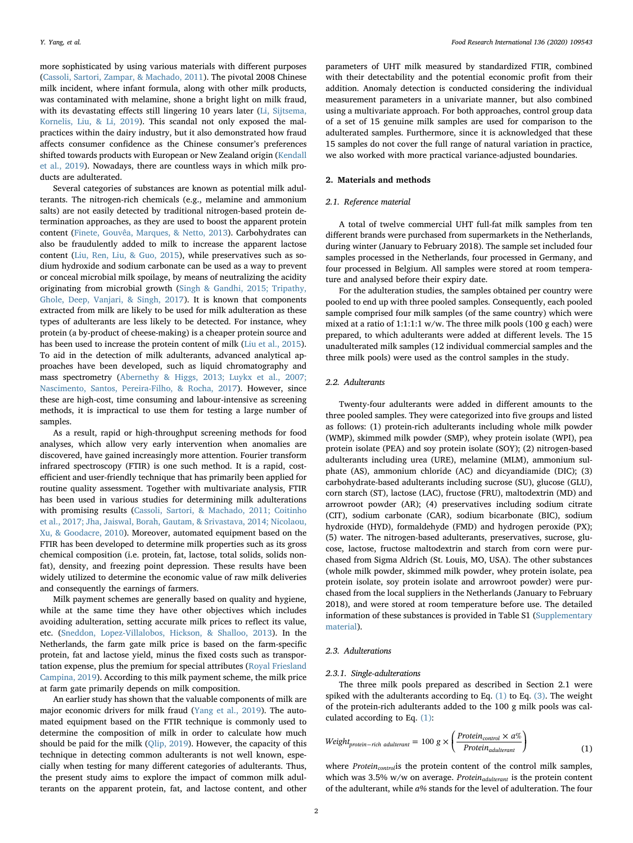more sophisticated by using various materials with different purposes ([Cassoli, Sartori, Zampar, & Machado, 2011\)](#page-9-2). The pivotal 2008 Chinese milk incident, where infant formula, along with other milk products, was contaminated with melamine, shone a bright light on milk fraud, with its devastating effects still lingering 10 years later ([Li, Sijtsema,](#page-9-3) [Kornelis, Liu, & Li, 2019](#page-9-3)). This scandal not only exposed the malpractices within the dairy industry, but it also demonstrated how fraud affects consumer confidence as the Chinese consumer's preferences shifted towards products with European or New Zealand origin ([Kendall](#page-9-4) [et al., 2019](#page-9-4)). Nowadays, there are countless ways in which milk products are adulterated.

Several categories of substances are known as potential milk adulterants. The nitrogen-rich chemicals (e.g., melamine and ammonium salts) are not easily detected by traditional nitrogen-based protein determination approaches, as they are used to boost the apparent protein content ([Finete, Gouvêa, Marques, & Netto, 2013](#page-9-5)). Carbohydrates can also be fraudulently added to milk to increase the apparent lactose content [\(Liu, Ren, Liu, & Guo, 2015\)](#page-9-6), while preservatives such as sodium hydroxide and sodium carbonate can be used as a way to prevent or conceal microbial milk spoilage, by means of neutralizing the acidity originating from microbial growth ([Singh & Gandhi, 2015; Tripathy,](#page-9-7) [Ghole, Deep, Vanjari, & Singh, 2017](#page-9-7)). It is known that components extracted from milk are likely to be used for milk adulteration as these types of adulterants are less likely to be detected. For instance, whey protein (a by-product of cheese-making) is a cheaper protein source and has been used to increase the protein content of milk ([Liu et al., 2015](#page-9-6)). To aid in the detection of milk adulterants, advanced analytical approaches have been developed, such as liquid chromatography and mass spectrometry [\(Abernethy & Higgs, 2013; Luykx et al., 2007;](#page-9-8) [Nascimento, Santos, Pereira-Filho, & Rocha, 2017](#page-9-8)). However, since these are high-cost, time consuming and labour-intensive as screening methods, it is impractical to use them for testing a large number of samples.

As a result, rapid or high-throughput screening methods for food analyses, which allow very early intervention when anomalies are discovered, have gained increasingly more attention. Fourier transform infrared spectroscopy (FTIR) is one such method. It is a rapid, costefficient and user-friendly technique that has primarily been applied for routine quality assessment. Together with multivariate analysis, FTIR has been used in various studies for determining milk adulterations with promising results [\(Cassoli, Sartori, & Machado, 2011; Coitinho](#page-9-9) [et al., 2017; Jha, Jaiswal, Borah, Gautam, & Srivastava, 2014; Nicolaou,](#page-9-9) [Xu, & Goodacre, 2010](#page-9-9)). Moreover, automated equipment based on the FTIR has been developed to determine milk properties such as its gross chemical composition (i.e. protein, fat, lactose, total solids, solids nonfat), density, and freezing point depression. These results have been widely utilized to determine the economic value of raw milk deliveries and consequently the earnings of farmers.

Milk payment schemes are generally based on quality and hygiene, while at the same time they have other objectives which includes avoiding adulteration, setting accurate milk prices to reflect its value, etc. ([Sneddon, Lopez-Villalobos, Hickson, & Shalloo, 2013](#page-9-10)). In the Netherlands, the farm gate milk price is based on the farm-specific protein, fat and lactose yield, minus the fixed costs such as transportation expense, plus the premium for special attributes [\(Royal Friesland](#page-9-11) [Campina, 2019\)](#page-9-11). According to this milk payment scheme, the milk price at farm gate primarily depends on milk composition.

An earlier study has shown that the valuable components of milk are major economic drivers for milk fraud ([Yang et al., 2019\)](#page-9-12). The automated equipment based on the FTIR technique is commonly used to determine the composition of milk in order to calculate how much should be paid for the milk ( $Qlip$ , 2019). However, the capacity of this technique in detecting common adulterants is not well known, especially when testing for many different categories of adulterants. Thus, the present study aims to explore the impact of common milk adulterants on the apparent protein, fat, and lactose content, and other

parameters of UHT milk measured by standardized FTIR, combined with their detectability and the potential economic profit from their addition. Anomaly detection is conducted considering the individual measurement parameters in a univariate manner, but also combined using a multivariate approach. For both approaches, control group data of a set of 15 genuine milk samples are used for comparison to the adulterated samples. Furthermore, since it is acknowledged that these 15 samples do not cover the full range of natural variation in practice, we also worked with more practical variance-adjusted boundaries.

## 2. Materials and methods

#### 2.1. Reference material

A total of twelve commercial UHT full-fat milk samples from ten different brands were purchased from supermarkets in the Netherlands, during winter (January to February 2018). The sample set included four samples processed in the Netherlands, four processed in Germany, and four processed in Belgium. All samples were stored at room temperature and analysed before their expiry date.

For the adulteration studies, the samples obtained per country were pooled to end up with three pooled samples. Consequently, each pooled sample comprised four milk samples (of the same country) which were mixed at a ratio of 1:1:1:1 w/w. The three milk pools (100 g each) were prepared, to which adulterants were added at different levels. The 15 unadulterated milk samples (12 individual commercial samples and the three milk pools) were used as the control samples in the study.

#### 2.2. Adulterants

Twenty-four adulterants were added in different amounts to the three pooled samples. They were categorized into five groups and listed as follows: (1) protein-rich adulterants including whole milk powder (WMP), skimmed milk powder (SMP), whey protein isolate (WPI), pea protein isolate (PEA) and soy protein isolate (SOY); (2) nitrogen-based adulterants including urea (URE), melamine (MLM), ammonium sulphate (AS), ammonium chloride (AC) and dicyandiamide (DIC); (3) carbohydrate-based adulterants including sucrose (SU), glucose (GLU), corn starch (ST), lactose (LAC), fructose (FRU), maltodextrin (MD) and arrowroot powder (AR); (4) preservatives including sodium citrate (CIT), sodium carbonate (CAR), sodium bicarbonate (BIC), sodium hydroxide (HYD), formaldehyde (FMD) and hydrogen peroxide (PX); (5) water. The nitrogen-based adulterants, preservatives, sucrose, glucose, lactose, fructose maltodextrin and starch from corn were purchased from Sigma Aldrich (St. Louis, MO, USA). The other substances (whole milk powder, skimmed milk powder, whey protein isolate, pea protein isolate, soy protein isolate and arrowroot powder) were purchased from the local suppliers in the Netherlands (January to February 2018), and were stored at room temperature before use. The detailed information of these substances is provided in Table S1 (Supplementary material).

## 2.3. Adulterations

#### 2.3.1. Single-adulterations

The three milk pools prepared as described in Section 2.1 were spiked with the adulterants according to Eq.  $(1)$  to Eq.  $(3)$ . The weight of the protein-rich adulterants added to the 100 g milk pools was calculated according to Eq. [\(1\)](#page-1-0):

<span id="page-1-0"></span>
$$
Weight_{protein-rich \textit{adulterant}} = 100 \text{ g} \times \left( \frac{Protein_{control} \times a\%}{Protein_{addulerant}} \right)
$$
 (1)

where *Protein<sub>control</sub>* is the protein content of the control milk samples, which was 3.5% w/w on average. *Protein<sub>adulterant* is the protein content</sub> of the adulterant, while  $a\%$  stands for the level of adulteration. The four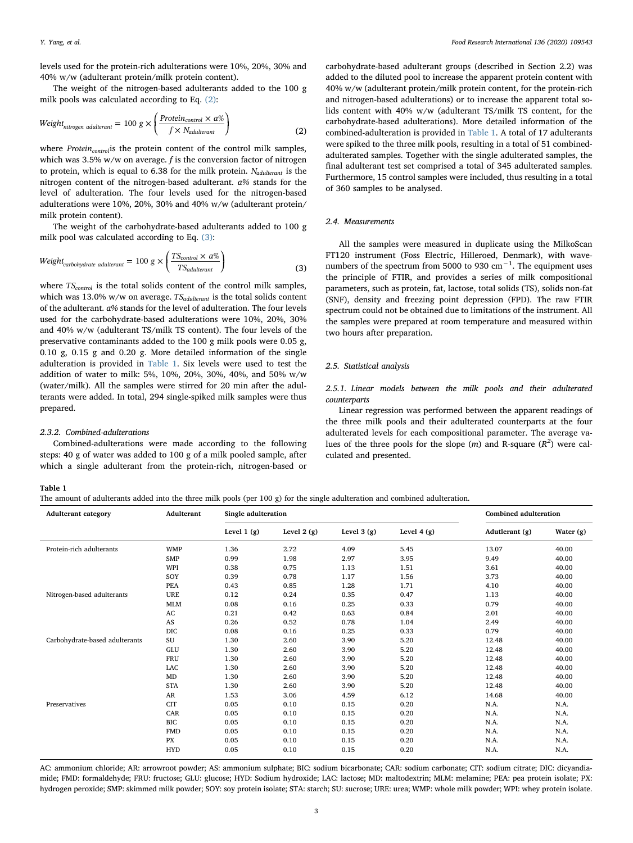levels used for the protein-rich adulterations were 10%, 20%, 30% and 40% w/w (adulterant protein/milk protein content).

<span id="page-2-1"></span>The weight of the nitrogen-based adulterants added to the 100 g milk pools was calculated according to Eq. [\(2\)](#page-2-1):

$$
Weight_{nitrogen \text{ \textit{adulterant}}} = 100 \text{ g} \times \left( \frac{Protein_{control} \times a\%}{f \times N_{addulerant}} \right)
$$
 (2)

where *Protein<sub>control</sub>* is the protein content of the control milk samples, which was 3.5% w/w on average. f is the conversion factor of nitrogen to protein, which is equal to 6.38 for the milk protein. *Nadulterant* is the nitrogen content of the nitrogen-based adulterant. a% stands for the level of adulteration. The four levels used for the nitrogen-based adulterations were 10%, 20%, 30% and 40% w/w (adulterant protein/ milk protein content).

<span id="page-2-0"></span>The weight of the carbohydrate-based adulterants added to 100 g milk pool was calculated according to Eq. [\(3\)](#page-2-0):

$$
Weight_{carbonlydrate\;adulterant} = 100 \; g \times \left( \frac{TS_{control} \times a\%}{TS_{adulterant}} \right) \tag{3}
$$

where  $TS_{control}$  is the total solids content of the control milk samples, which was 13.0% w/w on average. *TS<sub>adulterant*</sub> is the total solids content of the adulterant. a% stands for the level of adulteration. The four levels used for the carbohydrate-based adulterations were 10%, 20%, 30% and 40% w/w (adulterant TS/milk TS content). The four levels of the preservative contaminants added to the 100 g milk pools were 0.05 g, 0.10 g, 0.15 g and 0.20 g. More detailed information of the single adulteration is provided in [Table 1.](#page-2-2) Six levels were used to test the addition of water to milk: 5%, 10%, 20%, 30%, 40%, and 50% w/w (water/milk). All the samples were stirred for 20 min after the adulterants were added. In total, 294 single-spiked milk samples were thus prepared.

## 2.3.2. Combined-adulterations

Combined-adulterations were made according to the following steps: 40 g of water was added to 100 g of a milk pooled sample, after which a single adulterant from the protein-rich, nitrogen-based or

<span id="page-2-2"></span>Table 1

carbohydrate-based adulterant groups (described in Section 2.2) was added to the diluted pool to increase the apparent protein content with 40% w/w (adulterant protein/milk protein content, for the protein-rich and nitrogen-based adulterations) or to increase the apparent total solids content with 40% w/w (adulterant TS/milk TS content, for the carbohydrate-based adulterations). More detailed information of the combined-adulteration is provided in [Table 1.](#page-2-2) A total of 17 adulterants were spiked to the three milk pools, resulting in a total of 51 combinedadulterated samples. Together with the single adulterated samples, the final adulterant test set comprised a total of 345 adulterated samples. Furthermore, 15 control samples were included, thus resulting in a total of 360 samples to be analysed.

#### 2.4. Measurements

All the samples were measured in duplicate using the MilkoScan FT120 instrument (Foss Electric, Hilleroed, Denmark), with wavenumbers of the spectrum from 5000 to 930  $cm^{-1}$ . The equipment uses the principle of FTIR, and provides a series of milk compositional parameters, such as protein, fat, lactose, total solids (TS), solids non-fat (SNF), density and freezing point depression (FPD). The raw FTIR spectrum could not be obtained due to limitations of the instrument. All the samples were prepared at room temperature and measured within two hours after preparation.

#### 2.5. Statistical analysis

## 2.5.1. Linear models between the milk pools and their adulterated counterparts

Linear regression was performed between the apparent readings of the three milk pools and their adulterated counterparts at the four adulterated levels for each compositional parameter. The average values of the three pools for the slope  $(m)$  and R-square  $(R^2)$  were calculated and presented.

The amount of adulterants added into the three milk pools (per 100 g) for the single adulteration and combined adulteration.

| <b>Adulterant category</b>     | Adulterant | Single adulteration |              |              | <b>Combined adulteration</b> |                |           |
|--------------------------------|------------|---------------------|--------------|--------------|------------------------------|----------------|-----------|
|                                |            | Level $1(g)$        | Level $2(g)$ | Level $3(g)$ | Level $4(g)$                 | Adutlerant (g) | Water (g) |
| Protein-rich adulterants       | <b>WMP</b> | 1.36                | 2.72         | 4.09         | 5.45                         | 13.07          | 40.00     |
|                                | <b>SMP</b> | 0.99                | 1.98         | 2.97         | 3.95                         | 9.49           | 40.00     |
|                                | WPI        | 0.38                | 0.75         | 1.13         | 1.51                         | 3.61           | 40.00     |
|                                | SOY        | 0.39                | 0.78         | 1.17         | 1.56                         | 3.73           | 40.00     |
|                                | <b>PEA</b> | 0.43                | 0.85         | 1.28         | 1.71                         | 4.10           | 40.00     |
| Nitrogen-based adulterants     | <b>URE</b> | 0.12                | 0.24         | 0.35         | 0.47                         | 1.13           | 40.00     |
|                                | <b>MLM</b> | 0.08                | 0.16         | 0.25         | 0.33                         | 0.79           | 40.00     |
|                                | AC         | 0.21                | 0.42         | 0.63         | 0.84                         | 2.01           | 40.00     |
|                                | AS         | 0.26                | 0.52         | 0.78         | 1.04                         | 2.49           | 40.00     |
|                                | <b>DIC</b> | 0.08                | 0.16         | 0.25         | 0.33                         | 0.79           | 40.00     |
| Carbohydrate-based adulterants | SU         | 1.30                | 2.60         | 3.90         | 5.20                         | 12.48          | 40.00     |
|                                | GLU        | 1.30                | 2.60         | 3.90         | 5.20                         | 12.48          | 40.00     |
|                                | <b>FRU</b> | 1.30                | 2.60         | 3.90         | 5.20                         | 12.48          | 40.00     |
|                                | LAC        | 1.30                | 2.60         | 3.90         | 5.20                         | 12.48          | 40.00     |
|                                | MD         | 1.30                | 2.60         | 3.90         | 5.20                         | 12.48          | 40.00     |
|                                | <b>STA</b> | 1.30                | 2.60         | 3.90         | 5.20                         | 12.48          | 40.00     |
|                                | AR         | 1.53                | 3.06         | 4.59         | 6.12                         | 14.68          | 40.00     |
| Preservatives                  | <b>CIT</b> | 0.05                | 0.10         | 0.15         | 0.20                         | N.A.           | N.A.      |
|                                | CAR        | 0.05                | 0.10         | 0.15         | 0.20                         | N.A.           | N.A.      |
|                                | BIC        | 0.05                | 0.10         | 0.15         | 0.20                         | N.A.           | N.A.      |
|                                | <b>FMD</b> | 0.05                | 0.10         | 0.15         | 0.20                         | N.A.           | N.A.      |
|                                | PX         | 0.05                | 0.10         | 0.15         | 0.20                         | N.A.           | N.A.      |
|                                | <b>HYD</b> | 0.05                | 0.10         | 0.15         | 0.20                         | N.A.           | N.A.      |

AC: ammonium chloride; AR: arrowroot powder; AS: ammonium sulphate; BIC: sodium bicarbonate; CAR: sodium carbonate; CIT: sodium citrate; DIC: dicyandiamide; FMD: formaldehyde; FRU: fructose; GLU: glucose; HYD: Sodium hydroxide; LAC: lactose; MD: maltodextrin; MLM: melamine; PEA: pea protein isolate; PX: hydrogen peroxide; SMP: skimmed milk powder; SOY: soy protein isolate; STA: starch; SU: sucrose; URE: urea; WMP: whole milk powder; WPI: whey protein isolate.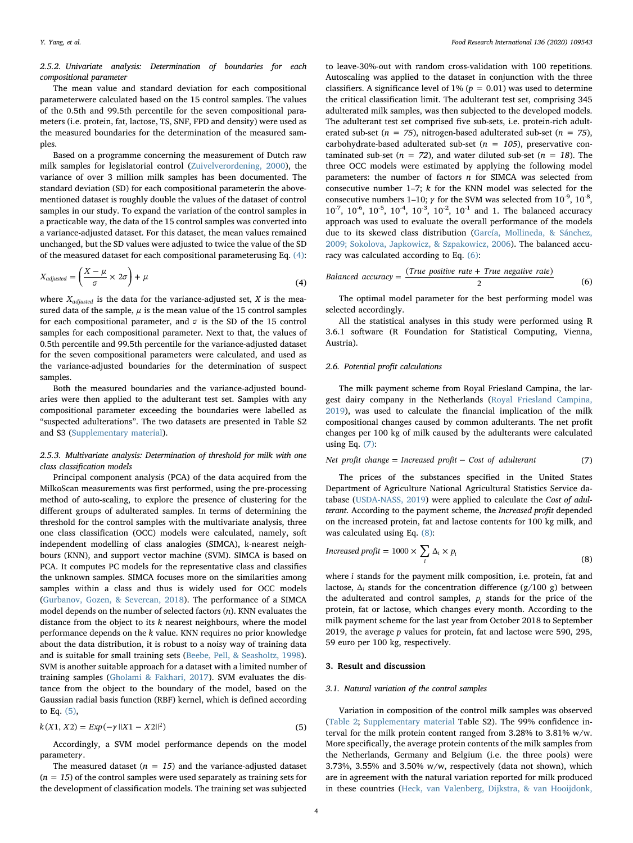2.5.2. Univariate analysis: Determination of boundaries for each compositional parameter

The mean value and standard deviation for each compositional parameterwere calculated based on the 15 control samples. The values of the 0.5th and 99.5th percentile for the seven compositional parameters (i.e. protein, fat, lactose, TS, SNF, FPD and density) were used as the measured boundaries for the determination of the measured samples.

Based on a programme concerning the measurement of Dutch raw milk samples for legislatorial control ([Zuivelverordening, 2000](#page-9-14)), the variance of over 3 million milk samples has been documented. The standard deviation (SD) for each compositional parameterin the abovementioned dataset is roughly double the values of the dataset of control samples in our study. To expand the variation of the control samples in a practicable way, the data of the 15 control samples was converted into a variance-adjusted dataset. For this dataset, the mean values remained unchanged, but the SD values were adjusted to twice the value of the SD of the measured dataset for each compositional parameterusing Eq. [\(4\)](#page-3-0):

<span id="page-3-0"></span>
$$
X_{adjusted} = \left(\frac{X - \mu}{\sigma} \times 2\sigma\right) + \mu \tag{4}
$$

where  $X_{adjusted}$  is the data for the variance-adjusted set,  $X$  is the measured data of the sample,  $\mu$  is the mean value of the 15 control samples for each compositional parameter, and  $\sigma$  is the SD of the 15 control samples for each compositional parameter. Next to that, the values of 0.5th percentile and 99.5th percentile for the variance-adjusted dataset for the seven compositional parameters were calculated, and used as the variance-adjusted boundaries for the determination of suspect samples.

Both the measured boundaries and the variance-adjusted boundaries were then applied to the adulterant test set. Samples with any compositional parameter exceeding the boundaries were labelled as "suspected adulterations". The two datasets are presented in Table S2 and S3 (Supplementary material).

## 2.5.3. Multivariate analysis: Determination of threshold for milk with one class classification models

Principal component analysis (PCA) of the data acquired from the MilkoScan measurements was first performed, using the pre-processing method of auto-scaling, to explore the presence of clustering for the different groups of adulterated samples. In terms of determining the threshold for the control samples with the multivariate analysis, three one class classification (OCC) models were calculated, namely, soft independent modelling of class analogies (SIMCA), k-nearest neighbours (KNN), and support vector machine (SVM). SIMCA is based on PCA. It computes PC models for the representative class and classifies the unknown samples. SIMCA focuses more on the similarities among samples within a class and thus is widely used for OCC models ([Gurbanov, Gozen, & Severcan, 2018](#page-9-15)). The performance of a SIMCA model depends on the number of selected factors  $(n)$ . KNN evaluates the distance from the object to its k nearest neighbours, where the model performance depends on the k value. KNN requires no prior knowledge about the data distribution, it is robust to a noisy way of training data and is suitable for small training sets [\(Beebe, Pell, & Seasholtz, 1998](#page-9-16)). SVM is another suitable approach for a dataset with a limited number of training samples [\(Gholami & Fakhari, 2017](#page-9-17)). SVM evaluates the distance from the object to the boundary of the model, based on the Gaussian radial basis function (RBF) kernel, which is defined according to Eq. [\(5\),](#page-3-1)

<span id="page-3-1"></span>
$$
k(X1, X2) = Exp(-\gamma ||X1 - X2||^2)
$$
\n(5)

Accordingly, a SVM model performance depends on the model parameter*γ*.

The measured dataset ( $n = 15$ ) and the variance-adjusted dataset  $(n = 15)$  of the control samples were used separately as training sets for the development of classification models. The training set was subjected

to leave-30%-out with random cross-validation with 100 repetitions. Autoscaling was applied to the dataset in conjunction with the three classifiers. A significance level of 1% ( $p = 0.01$ ) was used to determine the critical classification limit. The adulterant test set, comprising 345 adulterated milk samples, was then subjected to the developed models. The adulterant test set comprised five sub-sets, i.e. protein-rich adulterated sub-set ( $n = 75$ ), nitrogen-based adulterated sub-set ( $n = 75$ ), carbohydrate-based adulterated sub-set ( $n = 105$ ), preservative contaminated sub-set ( $n = 72$ ), and water diluted sub-set ( $n = 18$ ). The three OCC models were estimated by applying the following model parameters: the number of factors  $n$  for SIMCA was selected from consecutive number 1–7; k for the KNN model was selected for the consecutive numbers 1–10;  $\gamma$  for the SVM was selected from 10<sup>-9</sup>, 10<sup>-8</sup>.  $10^{-7}$ ,  $10^{-6}$ ,  $10^{-5}$ ,  $10^{-4}$ ,  $10^{-3}$ ,  $10^{-2}$ ,  $10^{-1}$  and 1. The balanced accuracy approach was used to evaluate the overall performance of the models due to its skewed class distribution [\(García, Mollineda, & Sánchez,](#page-9-18) [2009; Sokolova, Japkowicz, & Szpakowicz, 2006\)](#page-9-18). The balanced accuracy was calculated according to Eq. [\(6\)](#page-3-2):

<span id="page-3-2"></span>Balanced accuracy = 
$$
\frac{(True \ positive \ rate + True \ negative \ rate)}{2}
$$
 (6)

The optimal model parameter for the best performing model was selected accordingly.

All the statistical analyses in this study were performed using R 3.6.1 software (R Foundation for Statistical Computing, Vienna, Austria).

#### 2.6. Potential profit calculations

The milk payment scheme from Royal Friesland Campina, the largest dairy company in the Netherlands [\(Royal Friesland Campina,](#page-9-11) [2019\)](#page-9-11), was used to calculate the financial implication of the milk compositional changes caused by common adulterants. The net profit changes per 100 kg of milk caused by the adulterants were calculated using Eq.  $(7)$ :

<span id="page-3-3"></span>
$$
Net profit change = Increased profit - Cost of adulterant
$$
 (7)

The prices of the substances specified in the United States Department of Agriculture National Agricultural Statistics Service database ([USDA-NASS, 2019\)](#page-9-19) were applied to calculate the Cost of adulterant. According to the payment scheme, the Increased profit depended on the increased protein, fat and lactose contents for 100 kg milk, and was calculated using Eq. [\(8\)](#page-3-4):

<span id="page-3-4"></span>
$$
Increasing profit = 1000 \times \sum_{i} \Delta_{i} \times p_{i}
$$
\n(8)

where *i* stands for the payment milk composition, i.e. protein, fat and lactose,  $\Delta_i$  stands for the concentration difference (g/100 g) between the adulterated and control samples,  $p_i$  stands for the price of the protein, fat or lactose, which changes every month. According to the milk payment scheme for the last year from October 2018 to September 2019, the average p values for protein, fat and lactose were 590, 295, 59 euro per 100 kg, respectively.

## 3. Result and discussion

## 3.1. Natural variation of the control samples

Variation in composition of the control milk samples was observed ([Table 2;](#page-4-0) Supplementary material Table S2). The 99% confidence interval for the milk protein content ranged from 3.28% to 3.81% w/w. More specifically, the average protein contents of the milk samples from the Netherlands, Germany and Belgium (i.e. the three pools) were 3.73%, 3.55% and 3.50% w/w, respectively (data not shown), which are in agreement with the natural variation reported for milk produced in these countries ([Heck, van Valenberg, Dijkstra, & van Hooijdonk,](#page-9-20)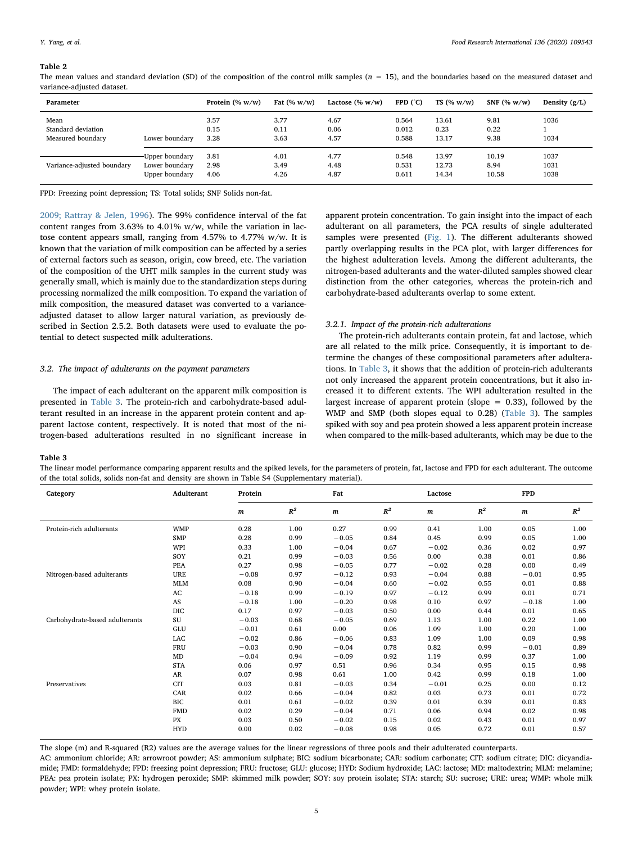#### <span id="page-4-0"></span>Table 2

The mean values and standard deviation (SD) of the composition of the control milk samples  $(n = 15)$ , and the boundaries based on the measured dataset and variance-adjusted dataset.

| Parameter                                       |                                                    | Protein $(\% w/w)$   | Fat $(\% w/w)$       | Lactose $(\% w/w)$   | FPD (°C)                | TS(% w/w)               | SNF $(% w/w)$          | Density $(g/L)$      |
|-------------------------------------------------|----------------------------------------------------|----------------------|----------------------|----------------------|-------------------------|-------------------------|------------------------|----------------------|
| Mean<br>Standard deviation<br>Measured boundary | Lower boundary                                     | 3.57<br>0.15<br>3.28 | 3.77<br>0.11<br>3.63 | 4.67<br>0.06<br>4.57 | 0.564<br>0.012<br>0.588 | 13.61<br>0.23<br>13.17  | 9.81<br>0.22<br>9.38   | 1036<br>1034         |
| Variance-adjusted boundary                      | Upper boundary<br>Lower boundary<br>Upper boundary | 3.81<br>2.98<br>4.06 | 4.01<br>3.49<br>4.26 | 4.77<br>4.48<br>4.87 | 0.548<br>0.531<br>0.611 | 13.97<br>12.73<br>14.34 | 10.19<br>8.94<br>10.58 | 1037<br>1031<br>1038 |

FPD: Freezing point depression; TS: Total solids; SNF Solids non-fat.

[2009; Rattray & Jelen, 1996](#page-9-20)). The 99% confidence interval of the fat content ranges from 3.63% to 4.01% w/w, while the variation in lactose content appears small, ranging from 4.57% to 4.77% w/w. It is known that the variation of milk composition can be affected by a series of external factors such as season, origin, cow breed, etc. The variation of the composition of the UHT milk samples in the current study was generally small, which is mainly due to the standardization steps during processing normalized the milk composition. To expand the variation of milk composition, the measured dataset was converted to a varianceadjusted dataset to allow larger natural variation, as previously described in Section 2.5.2. Both datasets were used to evaluate the potential to detect suspected milk adulterations.

#### 3.2. The impact of adulterants on the payment parameters

The impact of each adulterant on the apparent milk composition is presented in [Table 3](#page-4-1). The protein-rich and carbohydrate-based adulterant resulted in an increase in the apparent protein content and apparent lactose content, respectively. It is noted that most of the nitrogen-based adulterations resulted in no significant increase in apparent protein concentration. To gain insight into the impact of each adulterant on all parameters, the PCA results of single adulterated samples were presented [\(Fig. 1\)](#page-5-0). The different adulterants showed partly overlapping results in the PCA plot, with larger differences for the highest adulteration levels. Among the different adulterants, the nitrogen-based adulterants and the water-diluted samples showed clear distinction from the other categories, whereas the protein-rich and carbohydrate-based adulterants overlap to some extent.

#### 3.2.1. Impact of the protein-rich adulterations

The protein-rich adulterants contain protein, fat and lactose, which are all related to the milk price. Consequently, it is important to determine the changes of these compositional parameters after adulterations. In [Table 3,](#page-4-1) it shows that the addition of protein-rich adulterants not only increased the apparent protein concentrations, but it also increased it to different extents. The WPI adulteration resulted in the largest increase of apparent protein (slope  $= 0.33$ ), followed by the WMP and SMP (both slopes equal to 0.28) [\(Table 3](#page-4-1)). The samples spiked with soy and pea protein showed a less apparent protein increase when compared to the milk-based adulterants, which may be due to the

#### <span id="page-4-1"></span>Table 3

The linear model performance comparing apparent results and the spiked levels, for the parameters of protein, fat, lactose and FPD for each adulterant. The outcome of the total solids, solids non-fat and density are shown in Table S4 (Supplementary material).

| Category                       | Adulterant | Protein          |       | Fat              |       | Lactose          |       | <b>FPD</b>       |       |
|--------------------------------|------------|------------------|-------|------------------|-------|------------------|-------|------------------|-------|
|                                |            | $\boldsymbol{m}$ | $R^2$ | $\boldsymbol{m}$ | $R^2$ | $\boldsymbol{m}$ | $R^2$ | $\boldsymbol{m}$ | $R^2$ |
| Protein-rich adulterants       | <b>WMP</b> | 0.28             | 1.00  | 0.27             | 0.99  | 0.41             | 1.00  | 0.05             | 1.00  |
|                                | <b>SMP</b> | 0.28             | 0.99  | $-0.05$          | 0.84  | 0.45             | 0.99  | 0.05             | 1.00  |
|                                | WPI        | 0.33             | 1.00  | $-0.04$          | 0.67  | $-0.02$          | 0.36  | 0.02             | 0.97  |
|                                | SOY        | 0.21             | 0.99  | $-0.03$          | 0.56  | 0.00             | 0.38  | 0.01             | 0.86  |
|                                | <b>PEA</b> | 0.27             | 0.98  | $-0.05$          | 0.77  | $-0.02$          | 0.28  | 0.00             | 0.49  |
| Nitrogen-based adulterants     | <b>URE</b> | $-0.08$          | 0.97  | $-0.12$          | 0.93  | $-0.04$          | 0.88  | $-0.01$          | 0.95  |
|                                | <b>MLM</b> | 0.08             | 0.90  | $-0.04$          | 0.60  | $-0.02$          | 0.55  | 0.01             | 0.88  |
|                                | AC         | $-0.18$          | 0.99  | $-0.19$          | 0.97  | $-0.12$          | 0.99  | 0.01             | 0.71  |
|                                | AS         | $-0.18$          | 1.00  | $-0.20$          | 0.98  | 0.10             | 0.97  | $-0.18$          | 1.00  |
|                                | DIC        | 0.17             | 0.97  | $-0.03$          | 0.50  | 0.00             | 0.44  | 0.01             | 0.65  |
| Carbohydrate-based adulterants | SU         | $-0.03$          | 0.68  | $-0.05$          | 0.69  | 1.13             | 1.00  | 0.22             | 1.00  |
|                                | GLU        | $-0.01$          | 0.61  | 0.00             | 0.06  | 1.09             | 1.00  | 0.20             | 1.00  |
|                                | LAC        | $-0.02$          | 0.86  | $-0.06$          | 0.83  | 1.09             | 1.00  | 0.09             | 0.98  |
|                                | <b>FRU</b> | $-0.03$          | 0.90  | $-0.04$          | 0.78  | 0.82             | 0.99  | $-0.01$          | 0.89  |
|                                | MD         | $-0.04$          | 0.94  | $-0.09$          | 0.92  | 1.19             | 0.99  | 0.37             | 1.00  |
|                                | <b>STA</b> | 0.06             | 0.97  | 0.51             | 0.96  | 0.34             | 0.95  | 0.15             | 0.98  |
|                                | AR         | 0.07             | 0.98  | 0.61             | 1.00  | 0.42             | 0.99  | 0.18             | 1.00  |
| Preservatives                  | CIT        | 0.03             | 0.81  | $-0.03$          | 0.34  | $-0.01$          | 0.25  | 0.00             | 0.12  |
|                                | CAR        | 0.02             | 0.66  | $-0.04$          | 0.82  | 0.03             | 0.73  | 0.01             | 0.72  |
|                                | <b>BIC</b> | 0.01             | 0.61  | $-0.02$          | 0.39  | 0.01             | 0.39  | 0.01             | 0.83  |
|                                | <b>FMD</b> | 0.02             | 0.29  | $-0.04$          | 0.71  | 0.06             | 0.94  | 0.02             | 0.98  |
|                                | <b>PX</b>  | 0.03             | 0.50  | $-0.02$          | 0.15  | 0.02             | 0.43  | 0.01             | 0.97  |
|                                | <b>HYD</b> | 0.00             | 0.02  | $-0.08$          | 0.98  | 0.05             | 0.72  | 0.01             | 0.57  |

The slope (m) and R-squared (R2) values are the average values for the linear regressions of three pools and their adulterated counterparts.

AC: ammonium chloride; AR: arrowroot powder; AS: ammonium sulphate; BIC: sodium bicarbonate; CAR: sodium carbonate; CIT: sodium citrate; DIC: dicyandiamide; FMD: formaldehyde; FPD: freezing point depression; FRU: fructose; GLU: glucose; HYD: Sodium hydroxide; LAC: lactose; MD: maltodextrin; MLM: melamine; PEA: pea protein isolate; PX: hydrogen peroxide; SMP: skimmed milk powder; SOY: soy protein isolate; STA: starch; SU: sucrose; URE: urea; WMP: whole milk powder; WPI: whey protein isolate.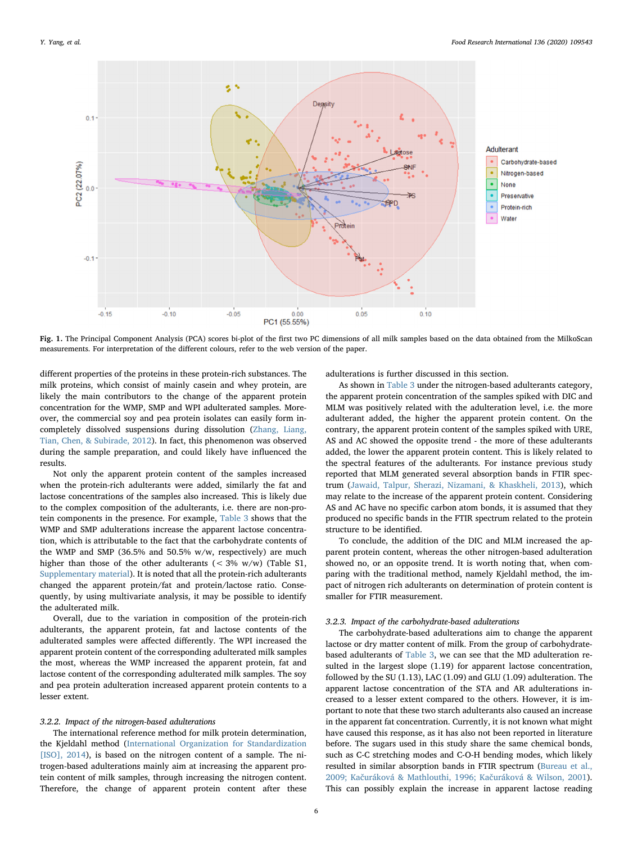<span id="page-5-0"></span>

Fig. 1. The Principal Component Analysis (PCA) scores bi-plot of the first two PC dimensions of all milk samples based on the data obtained from the MilkoScan measurements. For interpretation of the different colours, refer to the web version of the paper.

different properties of the proteins in these protein-rich substances. The milk proteins, which consist of mainly casein and whey protein, are likely the main contributors to the change of the apparent protein concentration for the WMP, SMP and WPI adulterated samples. Moreover, the commercial soy and pea protein isolates can easily form incompletely dissolved suspensions during dissolution [\(Zhang, Liang,](#page-9-21) [Tian, Chen, & Subirade, 2012\)](#page-9-21). In fact, this phenomenon was observed during the sample preparation, and could likely have influenced the results.

Not only the apparent protein content of the samples increased when the protein-rich adulterants were added, similarly the fat and lactose concentrations of the samples also increased. This is likely due to the complex composition of the adulterants, i.e. there are non-protein components in the presence. For example, [Table 3](#page-4-1) shows that the WMP and SMP adulterations increase the apparent lactose concentration, which is attributable to the fact that the carbohydrate contents of the WMP and SMP (36.5% and 50.5% w/w, respectively) are much higher than those of the other adulterants ( $<$  3% w/w) (Table S1, Supplementary material). It is noted that all the protein-rich adulterants changed the apparent protein/fat and protein/lactose ratio. Consequently, by using multivariate analysis, it may be possible to identify the adulterated milk.

Overall, due to the variation in composition of the protein-rich adulterants, the apparent protein, fat and lactose contents of the adulterated samples were affected differently. The WPI increased the apparent protein content of the corresponding adulterated milk samples the most, whereas the WMP increased the apparent protein, fat and lactose content of the corresponding adulterated milk samples. The soy and pea protein adulteration increased apparent protein contents to a lesser extent.

## 3.2.2. Impact of the nitrogen-based adulterations

The international reference method for milk protein determination, the Kjeldahl method ([International Organization for Standardization](#page-9-22) [\[ISO\], 2014\)](#page-9-22), is based on the nitrogen content of a sample. The nitrogen-based adulterations mainly aim at increasing the apparent protein content of milk samples, through increasing the nitrogen content. Therefore, the change of apparent protein content after these adulterations is further discussed in this section.

As shown in [Table 3](#page-4-1) under the nitrogen-based adulterants category, the apparent protein concentration of the samples spiked with DIC and MLM was positively related with the adulteration level, i.e. the more adulterant added, the higher the apparent protein content. On the contrary, the apparent protein content of the samples spiked with URE, AS and AC showed the opposite trend - the more of these adulterants added, the lower the apparent protein content. This is likely related to the spectral features of the adulterants. For instance previous study reported that MLM generated several absorption bands in FTIR spectrum [\(Jawaid, Talpur, Sherazi, Nizamani, & Khaskheli, 2013\)](#page-9-23), which may relate to the increase of the apparent protein content. Considering AS and AC have no specific carbon atom bonds, it is assumed that they produced no specific bands in the FTIR spectrum related to the protein structure to be identified.

To conclude, the addition of the DIC and MLM increased the apparent protein content, whereas the other nitrogen-based adulteration showed no, or an opposite trend. It is worth noting that, when comparing with the traditional method, namely Kjeldahl method, the impact of nitrogen rich adulterants on determination of protein content is smaller for FTIR measurement.

#### 3.2.3. Impact of the carbohydrate-based adulterations

The carbohydrate-based adulterations aim to change the apparent lactose or dry matter content of milk. From the group of carbohydratebased adulterants of [Table 3,](#page-4-1) we can see that the MD adulteration resulted in the largest slope (1.19) for apparent lactose concentration, followed by the SU (1.13), LAC (1.09) and GLU (1.09) adulteration. The apparent lactose concentration of the STA and AR adulterations increased to a lesser extent compared to the others. However, it is important to note that these two starch adulterants also caused an increase in the apparent fat concentration. Currently, it is not known what might have caused this response, as it has also not been reported in literature before. The sugars used in this study share the same chemical bonds, such as C-C stretching modes and C-O-H bending modes, which likely resulted in similar absorption bands in FTIR spectrum ([Bureau et al.,](#page-9-24) 2009; Kač[uráková & Mathlouthi, 1996; Ka](#page-9-24)čuráková & Wilson, 2001). This can possibly explain the increase in apparent lactose reading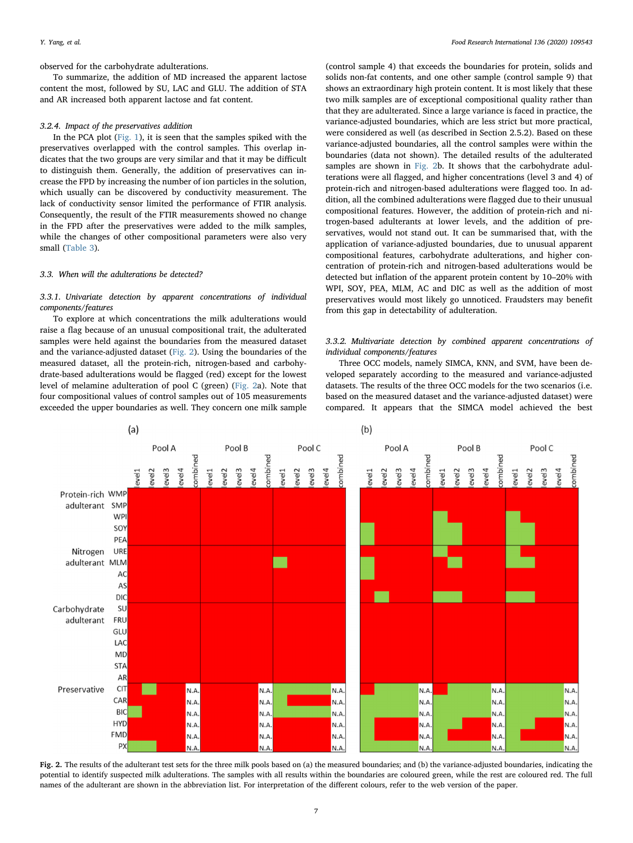observed for the carbohydrate adulterations.

To summarize, the addition of MD increased the apparent lactose content the most, followed by SU, LAC and GLU. The addition of STA and AR increased both apparent lactose and fat content.

#### 3.2.4. Impact of the preservatives addition

In the PCA plot ([Fig. 1\)](#page-5-0), it is seen that the samples spiked with the preservatives overlapped with the control samples. This overlap indicates that the two groups are very similar and that it may be difficult to distinguish them. Generally, the addition of preservatives can increase the FPD by increasing the number of ion particles in the solution, which usually can be discovered by conductivity measurement. The lack of conductivity sensor limited the performance of FTIR analysis. Consequently, the result of the FTIR measurements showed no change in the FPD after the preservatives were added to the milk samples, while the changes of other compositional parameters were also very small [\(Table 3\)](#page-4-1).

#### 3.3. When will the adulterations be detected?

#### 3.3.1. Univariate detection by apparent concentrations of individual components/features

To explore at which concentrations the milk adulterations would raise a flag because of an unusual compositional trait, the adulterated samples were held against the boundaries from the measured dataset and the variance-adjusted dataset [\(Fig. 2](#page-6-0)). Using the boundaries of the measured dataset, all the protein-rich, nitrogen-based and carbohydrate-based adulterations would be flagged (red) except for the lowest level of melamine adulteration of pool C (green) [\(Fig. 2](#page-6-0)a). Note that four compositional values of control samples out of 105 measurements exceeded the upper boundaries as well. They concern one milk sample

(control sample 4) that exceeds the boundaries for protein, solids and solids non-fat contents, and one other sample (control sample 9) that shows an extraordinary high protein content. It is most likely that these two milk samples are of exceptional compositional quality rather than that they are adulterated. Since a large variance is faced in practice, the variance-adjusted boundaries, which are less strict but more practical, were considered as well (as described in Section 2.5.2). Based on these variance-adjusted boundaries, all the control samples were within the boundaries (data not shown). The detailed results of the adulterated samples are shown in [Fig. 2b](#page-6-0). It shows that the carbohydrate adulterations were all flagged, and higher concentrations (level 3 and 4) of protein-rich and nitrogen-based adulterations were flagged too. In addition, all the combined adulterations were flagged due to their unusual compositional features. However, the addition of protein-rich and nitrogen-based adulterants at lower levels, and the addition of preservatives, would not stand out. It can be summarised that, with the application of variance-adjusted boundaries, due to unusual apparent compositional features, carbohydrate adulterations, and higher concentration of protein-rich and nitrogen-based adulterations would be detected but inflation of the apparent protein content by 10–20% with WPI, SOY, PEA, MLM, AC and DIC as well as the addition of most preservatives would most likely go unnoticed. Fraudsters may benefit from this gap in detectability of adulteration.

## 3.3.2. Multivariate detection by combined apparent concentrations of individual components/features

Three OCC models, namely SIMCA, KNN, and SVM, have been developed separately according to the measured and variance-adjusted datasets. The results of the three OCC models for the two scenarios (i.e. based on the measured dataset and the variance-adjusted dataset) were compared. It appears that the SIMCA model achieved the best

<span id="page-6-0"></span>

Fig. 2. The results of the adulterant test sets for the three milk pools based on (a) the measured boundaries; and (b) the variance-adjusted boundaries, indicating the potential to identify suspected milk adulterations. The samples with all results within the boundaries are coloured green, while the rest are coloured red. The full names of the adulterant are shown in the abbreviation list. For interpretation of the different colours, refer to the web version of the paper.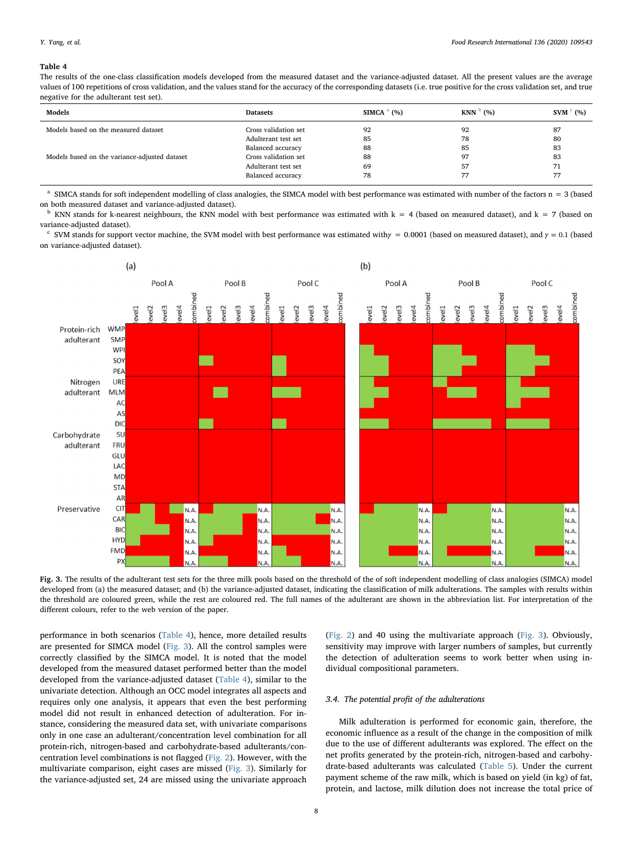#### <span id="page-7-0"></span>Table 4

The results of the one-class classification models developed from the measured dataset and the variance-adjusted dataset. All the present values are the average values of 100 repetitions of cross validation, and the values stand for the accuracy of the corresponding datasets (i.e. true positive for the cross validation set, and true negative for the adulterant test set).

| Models                                        | <b>Datasets</b>      | SIMCA $a(%)$ | $KNN^{b}$ (%) | SVM $^{\circ}$ (%) |
|-----------------------------------------------|----------------------|--------------|---------------|--------------------|
| Models based on the measured dataset          | Cross validation set | 92           | 92            | 87                 |
|                                               | Adulterant test set  | 85           | 78            | 80                 |
|                                               | Balanced accuracy    | 88           | 85            | 83                 |
| Models based on the variance-adjusted dataset | Cross validation set | 88           | 97            | 83                 |
|                                               | Adulterant test set  | 69           | 57            | 71                 |
|                                               | Balanced accuracy    | 78           | 77            | 77                 |

<span id="page-7-2"></span><sup>a</sup> SIMCA stands for soft independent modelling of class analogies, the SIMCA model with best performance was estimated with number of the factors  $n = 3$  (based on both measured dataset and variance-adjusted dataset).

<span id="page-7-3"></span>KNN stands for k-nearest neighbours, the KNN model with best performance was estimated with  $k = 4$  (based on measured dataset), and  $k = 7$  (based on variance-adjusted dataset).

<span id="page-7-4"></span><sup>c</sup> SVM stands for support vector machine, the SVM model with best performance was estimated with $\gamma = 0.0001$  (based on measured dataset), and  $\gamma = 0.1$  (based on variance-adjusted dataset).

<span id="page-7-1"></span>

Fig. 3. The results of the adulterant test sets for the three milk pools based on the threshold of the of soft independent modelling of class analogies (SIMCA) model developed from (a) the measured dataset; and (b) the variance-adjusted dataset, indicating the classification of milk adulterations. The samples with results within the threshold are coloured green, while the rest are coloured red. The full names of the adulterant are shown in the abbreviation list. For interpretation of the different colours, refer to the web version of the paper.

performance in both scenarios [\(Table 4](#page-7-0)), hence, more detailed results are presented for SIMCA model ([Fig. 3](#page-7-1)). All the control samples were correctly classified by the SIMCA model. It is noted that the model developed from the measured dataset performed better than the model developed from the variance-adjusted dataset ([Table 4\)](#page-7-0), similar to the univariate detection. Although an OCC model integrates all aspects and requires only one analysis, it appears that even the best performing model did not result in enhanced detection of adulteration. For instance, considering the measured data set, with univariate comparisons only in one case an adulterant/concentration level combination for all protein-rich, nitrogen-based and carbohydrate-based adulterants/concentration level combinations is not flagged [\(Fig. 2](#page-6-0)). However, with the multivariate comparison, eight cases are missed [\(Fig. 3\)](#page-7-1). Similarly for the variance-adjusted set, 24 are missed using the univariate approach

([Fig. 2\)](#page-6-0) and 40 using the multivariate approach ([Fig. 3](#page-7-1)). Obviously, sensitivity may improve with larger numbers of samples, but currently the detection of adulteration seems to work better when using individual compositional parameters.

## 3.4. The potential profit of the adulterations

Milk adulteration is performed for economic gain, therefore, the economic influence as a result of the change in the composition of milk due to the use of different adulterants was explored. The effect on the net profits generated by the protein-rich, nitrogen-based and carbohydrate-based adulterants was calculated ([Table 5\)](#page-8-0). Under the current payment scheme of the raw milk, which is based on yield (in kg) of fat, protein, and lactose, milk dilution does not increase the total price of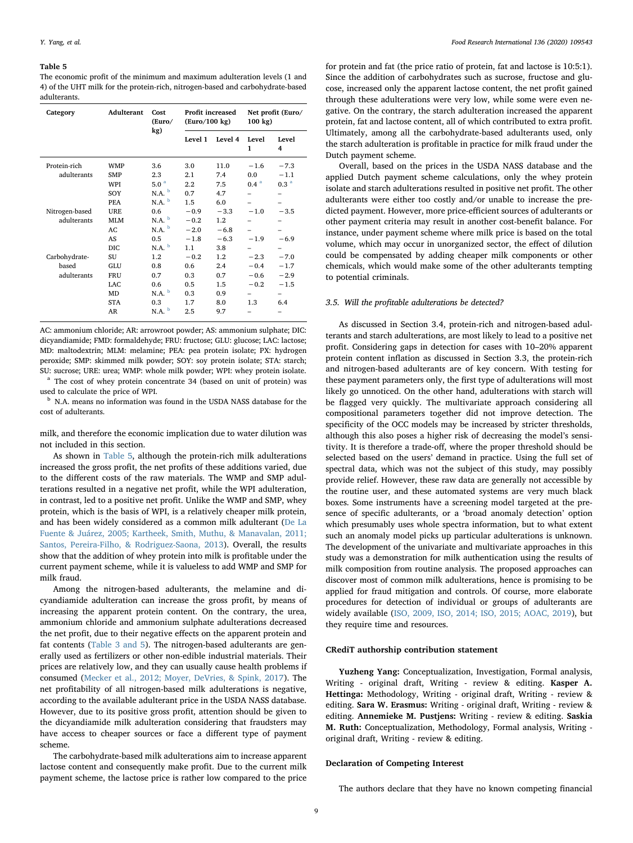#### <span id="page-8-0"></span>Table 5

The economic profit of the minimum and maximum adulteration levels (1 and 4) of the UHT milk for the protein-rich, nitrogen-based and carbohydrate-based adulterants.

| Category                              | Adulterant                                                       | Cost<br>Euro/                                   | Profit increased<br>(Euro/100 kg)                  |                                                 | Net profit (Euro/<br>100 kg                 |                                                  |
|---------------------------------------|------------------------------------------------------------------|-------------------------------------------------|----------------------------------------------------|-------------------------------------------------|---------------------------------------------|--------------------------------------------------|
|                                       |                                                                  | kg)                                             | Level 1                                            | Level 4                                         | Level<br>$\mathbf{1}$                       | Level<br>4                                       |
| Protein-rich<br>adulterants           | <b>WMP</b><br><b>SMP</b><br>WPI<br>SOY                           | 3.6<br>2.3<br>5.0 <sup>a</sup><br>N.A.<br>N.A.  | 3.0<br>2.1<br>$2.2\,$<br>0.7                       | 11.0<br>7.4<br>7.5<br>4.7                       | $-1.6$<br>0.0<br>0.4 <sup>a</sup>           | $-7.3$<br>$-1.1$<br>0.3 <sup>a</sup>             |
| Nitrogen-based<br>adulterants         | <b>PEA</b><br><b>URE</b><br>MI.M<br>AC<br>AS<br>DIC.             | 0.6<br>N.A.<br>N.A.<br>0.5<br>N.A.              | 1.5<br>$-0.9$<br>$-0.2$<br>$-2.0$<br>$-1.8$<br>1.1 | 6.0<br>$-3.3$<br>1.2<br>$-6.8$<br>$-6.3$<br>3.8 | $-1.0$<br>$-1.9$                            | $-3.5$<br>$-6.9$                                 |
| Carbohydrate-<br>based<br>adulterants | SU<br>GLU<br><b>FRU</b><br>LAC.<br><b>MD</b><br><b>STA</b><br>AR | 1.2<br>0.8<br>0.7<br>0.6<br>N.A.<br>0.3<br>N.A. | $-0.2$<br>0.6<br>0.3<br>0.5<br>0.3<br>1.7<br>2.5   | 1.2<br>2.4<br>0.7<br>1.5<br>0.9<br>8.0<br>9.7   | $-2.3$<br>$-0.4$<br>$-0.6$<br>$-0.2$<br>1.3 | $-7.0$<br>$-1.7$<br>$-2.9$<br>$-1.5$<br>-<br>6.4 |

AC: ammonium chloride; AR: arrowroot powder; AS: ammonium sulphate; DIC: dicyandiamide; FMD: formaldehyde; FRU: fructose; GLU: glucose; LAC: lactose; MD: maltodextrin; MLM: melamine; PEA: pea protein isolate; PX: hydrogen peroxide; SMP: skimmed milk powder; SOY: soy protein isolate; STA: starch; SU: sucrose; URE: urea; WMP: whole milk powder; WPI: whey protein isolate.

<span id="page-8-1"></span><sup>a</sup> The cost of whey protein concentrate 34 (based on unit of protein) was used to calculate the price of WPI.

<span id="page-8-2"></span><sup>b</sup> N.A. means no information was found in the USDA NASS database for the cost of adulterants.

milk, and therefore the economic implication due to water dilution was not included in this section.

As shown in [Table 5,](#page-8-0) although the protein-rich milk adulterations increased the gross profit, the net profits of these additions varied, due to the different costs of the raw materials. The WMP and SMP adulterations resulted in a negative net profit, while the WPI adulteration, in contrast, led to a positive net profit. Unlike the WMP and SMP, whey protein, which is the basis of WPI, is a relatively cheaper milk protein, and has been widely considered as a common milk adulterant ([De La](#page-9-25) [Fuente & Juárez, 2005; Kartheek, Smith, Muthu, & Manavalan, 2011;](#page-9-25) [Santos, Pereira-Filho, & Rodriguez-Saona, 2013](#page-9-25)). Overall, the results show that the addition of whey protein into milk is profitable under the current payment scheme, while it is valueless to add WMP and SMP for milk fraud.

Among the nitrogen-based adulterants, the melamine and dicyandiamide adulteration can increase the gross profit, by means of increasing the apparent protein content. On the contrary, the urea, ammonium chloride and ammonium sulphate adulterations decreased the net profit, due to their negative effects on the apparent protein and fat contents ([Table 3 and 5\)](#page-4-1). The nitrogen-based adulterants are generally used as fertilizers or other non-edible industrial materials. Their prices are relatively low, and they can usually cause health problems if consumed [\(Mecker et al., 2012; Moyer, DeVries, & Spink, 2017](#page-9-26)). The net profitability of all nitrogen-based milk adulterations is negative, according to the available adulterant price in the USDA NASS database. However, due to its positive gross profit, attention should be given to the dicyandiamide milk adulteration considering that fraudsters may have access to cheaper sources or face a different type of payment scheme.

The carbohydrate-based milk adulterations aim to increase apparent lactose content and consequently make profit. Due to the current milk payment scheme, the lactose price is rather low compared to the price for protein and fat (the price ratio of protein, fat and lactose is 10:5:1). Since the addition of carbohydrates such as sucrose, fructose and glucose, increased only the apparent lactose content, the net profit gained through these adulterations were very low, while some were even negative. On the contrary, the starch adulteration increased the apparent protein, fat and lactose content, all of which contributed to extra profit. Ultimately, among all the carbohydrate-based adulterants used, only the starch adulteration is profitable in practice for milk fraud under the Dutch payment scheme.

Overall, based on the prices in the USDA NASS database and the applied Dutch payment scheme calculations, only the whey protein isolate and starch adulterations resulted in positive net profit. The other adulterants were either too costly and/or unable to increase the predicted payment. However, more price-efficient sources of adulterants or other payment criteria may result in another cost-benefit balance. For instance, under payment scheme where milk price is based on the total volume, which may occur in unorganized sector, the effect of dilution could be compensated by adding cheaper milk components or other chemicals, which would make some of the other adulterants tempting to potential criminals.

#### 3.5. Will the profitable adulterations be detected?

As discussed in Section 3.4, protein-rich and nitrogen-based adulterants and starch adulterations, are most likely to lead to a positive net profit. Considering gaps in detection for cases with 10–20% apparent protein content inflation as discussed in Section 3.3, the protein-rich and nitrogen-based adulterants are of key concern. With testing for these payment parameters only, the first type of adulterations will most likely go unnoticed. On the other hand, adulterations with starch will be flagged very quickly. The multivariate approach considering all compositional parameters together did not improve detection. The specificity of the OCC models may be increased by stricter thresholds, although this also poses a higher risk of decreasing the model's sensitivity. It is therefore a trade-off, where the proper threshold should be selected based on the users' demand in practice. Using the full set of spectral data, which was not the subject of this study, may possibly provide relief. However, these raw data are generally not accessible by the routine user, and these automated systems are very much black boxes. Some instruments have a screening model targeted at the presence of specific adulterants, or a 'broad anomaly detection' option which presumably uses whole spectra information, but to what extent such an anomaly model picks up particular adulterations is unknown. The development of the univariate and multivariate approaches in this study was a demonstration for milk authentication using the results of milk composition from routine analysis. The proposed approaches can discover most of common milk adulterations, hence is promising to be applied for fraud mitigation and controls. Of course, more elaborate procedures for detection of individual or groups of adulterants are widely available ([ISO, 2009, ISO, 2014; ISO, 2015; AOAC, 2019\)](#page-9-27), but they require time and resources.

## CRediT authorship contribution statement

Yuzheng Yang: Conceptualization, Investigation, Formal analysis, Writing - original draft, Writing - review & editing. Kasper A. Hettinga: Methodology, Writing - original draft, Writing - review & editing. Sara W. Erasmus: Writing - original draft, Writing - review & editing. Annemieke M. Pustjens: Writing - review & editing. Saskia M. Ruth: Conceptualization, Methodology, Formal analysis, Writing original draft, Writing - review & editing.

#### Declaration of Competing Interest

The authors declare that they have no known competing financial